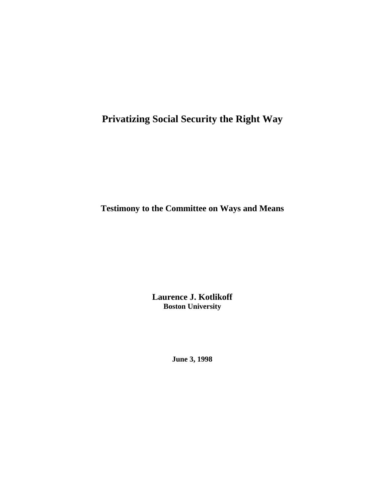# **Privatizing Social Security the Right Way**

**Testimony to the Committee on Ways and Means**

**Laurence J. Kotlikoff Boston University**

**June 3, 1998**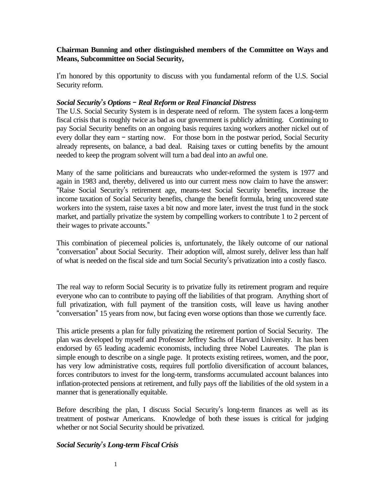# **Chairman Bunning and other distinguished members of the Committee on Ways and Means, Subcommittee on Social Security,**

I'm honored by this opportunity to discuss with you fundamental reform of the U.S. Social Security reform.

# *Social Security=s Options B Real Reform or Real Financial Distress*

The U.S. Social Security System is in desperate need of reform. The system faces a long-term fiscal crisis that is roughly twice as bad as our government is publicly admitting. Continuing to pay Social Security benefits on an ongoing basis requires taxing workers another nickel out of every dollar they earn - starting now. For those born in the postwar period, Social Security already represents, on balance, a bad deal. Raising taxes or cutting benefits by the amount needed to keep the program solvent will turn a bad deal into an awful one.

Many of the same politicians and bureaucrats who under-reformed the system is 1977 and again in 1983 and, thereby, delivered us into our current mess now claim to have the answer: "Raise Social Security's retirement age, means-test Social Security benefits, increase the income taxation of Social Security benefits, change the benefit formula, bring uncovered state workers into the system, raise taxes a bit now and more later, invest the trust fund in the stock market, and partially privatize the system by compelling workers to contribute 1 to 2 percent of their wages to private accounts."

This combination of piecemeal policies is, unfortunately, the likely outcome of our national "conversation" about Social Security. Their adoption will, almost surely, deliver less than half of what is needed on the fiscal side and turn Social Security's privatization into a costly fiasco.

The real way to reform Social Security is to privatize fully its retirement program and require everyone who can to contribute to paying off the liabilities of that program. Anything short of full privatization, with full payment of the transition costs, will leave us having another "conversation" 15 years from now, but facing even worse options than those we currently face.

This article presents a plan for fully privatizing the retirement portion of Social Security. The plan was developed by myself and Professor Jeffrey Sachs of Harvard University. It has been endorsed by 65 leading academic economists, including three Nobel Laureates. The plan is simple enough to describe on a single page. It protects existing retirees, women, and the poor, has very low administrative costs, requires full portfolio diversification of account balances, forces contributors to invest for the long-term, transforms accumulated account balances into inflation-protected pensions at retirement, and fully pays off the liabilities of the old system in a manner that is generationally equitable.

Before describing the plan, I discuss Social Security's long-term finances as well as its treatment of postwar Americans. Knowledge of both these issues is critical for judging whether or not Social Security should be privatized.

# *Social Security=s Long-term Fiscal Crisis*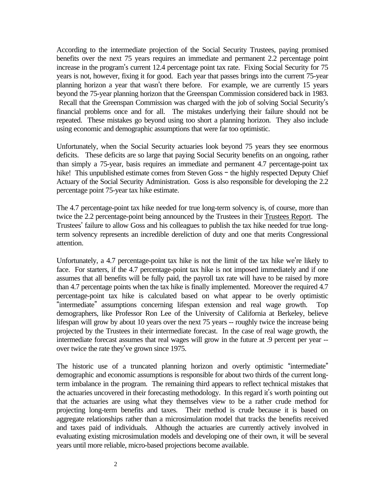According to the intermediate projection of the Social Security Trustees, paying promised benefits over the next 75 years requires an immediate and permanent 2.2 percentage point increase in the program's current 12.4 percentage point tax rate. Fixing Social Security for 75 years is not, however, fixing it for good. Each year that passes brings into the current 75-year planning horizon a year that wasn't there before. For example, we are currently 15 years beyond the 75-year planning horizon that the Greenspan Commission considered back in 1983. Recall that the Greenspan Commission was charged with the job of solving Social Security's financial problems once and for all. The mistakes underlying their failure should not be repeated. These mistakes go beyond using too short a planning horizon. They also include using economic and demographic assumptions that were far too optimistic.

Unfortunately, when the Social Security actuaries look beyond 75 years they see enormous deficits. These deficits are so large that paying Social Security benefits on an ongoing, rather than simply a 75-year, basis requires an immediate and permanent 4.7 percentage-point tax hike! This unpublished estimate comes from Steven Goss - the highly respected Deputy Chief Actuary of the Social Security Administration. Goss is also responsible for developing the 2.2 percentage point 75-year tax hike estimate.

The 4.7 percentage-point tax hike needed for true long-term solvency is, of course, more than twice the 2.2 percentage-point being announced by the Trustees in their Trustees Report. The Trustees' failure to allow Goss and his colleagues to publish the tax hike needed for true longterm solvency represents an incredible dereliction of duty and one that merits Congressional attention.

Unfortunately, a  $4.7$  percentage-point tax hike is not the limit of the tax hike we're likely to face. For starters, if the 4.7 percentage-point tax hike is not imposed immediately and if one assumes that all benefits will be fully paid, the payroll tax rate will have to be raised by more than 4.7 percentage points when the tax hike is finally implemented. Moreover the required 4.7 percentage-point tax hike is calculated based on what appear to be overly optimistic "intermediate" assumptions concerning lifespan extension and real wage growth. Top demographers, like Professor Ron Lee of the University of California at Berkeley, believe lifespan will grow by about 10 years over the next 75 years -- roughly twice the increase being projected by the Trustees in their intermediate forecast. In the case of real wage growth, the intermediate forecast assumes that real wages will grow in the future at .9 percent per year - over twice the rate they've grown since 1975.

The historic use of a truncated planning horizon and overly optimistic "intermediate" demographic and economic assumptions is responsible for about two thirds of the current longterm imbalance in the program. The remaining third appears to reflect technical mistakes that the actuaries uncovered in their forecasting methodology. In this regard it's worth pointing out that the actuaries are using what they themselves view to be a rather crude method for projecting long-term benefits and taxes. Their method is crude because it is based on aggregate relationships rather than a microsimulation model that tracks the benefits received and taxes paid of individuals. Although the actuaries are currently actively involved in evaluating existing microsimulation models and developing one of their own, it will be several years until more reliable, micro-based projections become available.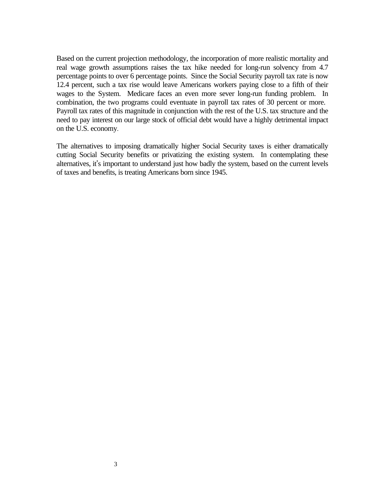Based on the current projection methodology, the incorporation of more realistic mortality and real wage growth assumptions raises the tax hike needed for long-run solvency from 4.7 percentage points to over 6 percentage points. Since the Social Security payroll tax rate is now 12.4 percent, such a tax rise would leave Americans workers paying close to a fifth of their wages to the System. Medicare faces an even more sever long-run funding problem. In combination, the two programs could eventuate in payroll tax rates of 30 percent or more. Payroll tax rates of this magnitude in conjunction with the rest of the U.S. tax structure and the need to pay interest on our large stock of official debt would have a highly detrimental impact on the U.S. economy.

The alternatives to imposing dramatically higher Social Security taxes is either dramatically cutting Social Security benefits or privatizing the existing system. In contemplating these alternatives, it's important to understand just how badly the system, based on the current levels of taxes and benefits, is treating Americans born since 1945.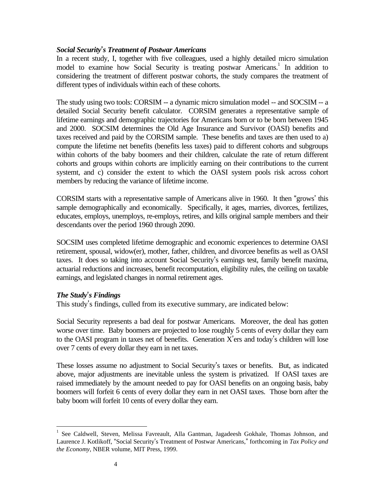# *Social Security=s Treatment of Postwar Americans*

In a recent study, I, together with five colleagues, used a highly detailed micro simulation model to examine how Social Security is treating postwar Americans.<sup>1</sup> In addition to considering the treatment of different postwar cohorts, the study compares the treatment of different types of individuals within each of these cohorts.

The study using two tools: CORSIM -- a dynamic micro simulation model -- and SOCSIM -- a detailed Social Security benefit calculator. CORSIM generates a representative sample of lifetime earnings and demographic trajectories for Americans born or to be born between 1945 and 2000. SOCSIM determines the Old Age Insurance and Survivor (OASI) benefits and taxes received and paid by the CORSIM sample. These benefits and taxes are then used to a) compute the lifetime net benefits (benefits less taxes) paid to different cohorts and subgroups within cohorts of the baby boomers and their children, calculate the rate of return different cohorts and groups within cohorts are implicitly earning on their contributions to the current systemt, and c) consider the extent to which the OASI system pools risk across cohort members by reducing the variance of lifetime income.

CORSIM starts with a representative sample of Americans alive in 1960. It then "grows' this sample demographically and economically. Specifically, it ages, marries, divorces, fertilizes, educates, employs, unemploys, re-employs, retires, and kills original sample members and their descendants over the period 1960 through 2090.

SOCSIM uses completed lifetime demographic and economic experiences to determine OASI retirement, spousal, widow(er), mother, father, children, and divorcee benefits as well as OASI taxes. It does so taking into account Social Security's earnings test, family benefit maxima, actuarial reductions and increases, benefit recomputation, eligibility rules, the ceiling on taxable earnings, and legislated changes in normal retirement ages.

# *The Study=s Findings*

 $\overline{a}$ 

This study's findings, culled from its executive summary, are indicated below:

Social Security represents a bad deal for postwar Americans. Moreover, the deal has gotten worse over time. Baby boomers are projected to lose roughly 5 cents of every dollar they earn to the OASI program in taxes net of benefits. Generation  $X'$ ers and today's children will lose over 7 cents of every dollar they earn in net taxes.

These losses assume no adjustment to Social Security's taxes or benefits. But, as indicated above, major adjustments are inevitable unless the system is privatized. If OASI taxes are raised immediately by the amount needed to pay for OASI benefits on an ongoing basis, baby boomers will forfeit 6 cents of every dollar they earn in net OASI taxes. Those born after the baby boom will forfeit 10 cents of every dollar they earn.

<sup>&</sup>lt;sup>1</sup> See Caldwell, Steven, Melissa Favreault, Alla Gantman, Jagadeesh Gokhale, Thomas Johnson, and Laurence J. Kotlikoff, "Social Security's Treatment of Postwar Americans," forthcoming in *Tax Policy and the Economy*, NBER volume, MIT Press, 1999.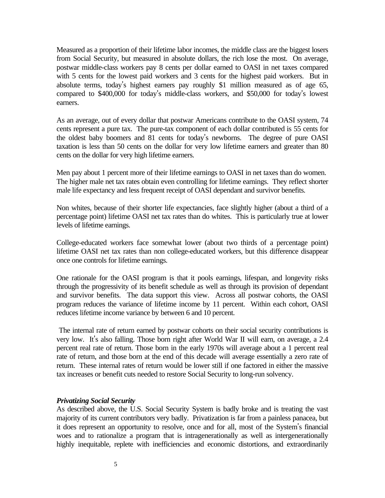Measured as a proportion of their lifetime labor incomes, the middle class are the biggest losers from Social Security, but measured in absolute dollars, the rich lose the most. On average, postwar middle-class workers pay 8 cents per dollar earned to OASI in net taxes compared with 5 cents for the lowest paid workers and 3 cents for the highest paid workers. But in absolute terms, today's highest earners pay roughly \$1 million measured as of age 65, compared to \$400,000 for today's middle-class workers, and \$50,000 for today's lowest earners.

As an average, out of every dollar that postwar Americans contribute to the OASI system, 74 cents represent a pure tax. The pure-tax component of each dollar contributed is 55 cents for the oldest baby boomers and 81 cents for today's newborns. The degree of pure OASI taxation is less than 50 cents on the dollar for very low lifetime earners and greater than 80 cents on the dollar for very high lifetime earners.

Men pay about 1 percent more of their lifetime earnings to OASI in net taxes than do women. The higher male net tax rates obtain even controlling for lifetime earnings. They reflect shorter male life expectancy and less frequent receipt of OASI dependant and survivor benefits.

Non whites, because of their shorter life expectancies, face slightly higher (about a third of a percentage point) lifetime OASI net tax rates than do whites. This is particularly true at lower levels of lifetime earnings.

College-educated workers face somewhat lower (about two thirds of a percentage point) lifetime OASI net tax rates than non college-educated workers, but this difference disappear once one controls for lifetime earnings.

One rationale for the OASI program is that it pools earnings, lifespan, and longevity risks through the progressivity of its benefit schedule as well as through its provision of dependant and survivor benefits. The data support this view. Across all postwar cohorts, the OASI program reduces the variance of lifetime income by 11 percent. Within each cohort, OASI reduces lifetime income variance by between 6 and 10 percent.

 The internal rate of return earned by postwar cohorts on their social security contributions is very low. It's also falling. Those born right after World War II will earn, on average, a 2.4 percent real rate of return. Those born in the early 1970s will average about a 1 percent real rate of return, and those born at the end of this decade will average essentially a zero rate of return. These internal rates of return would be lower still if one factored in either the massive tax increases or benefit cuts needed to restore Social Security to long-run solvency.

#### *Privatizing Social Security*

As described above, the U.S. Social Security System is badly broke and is treating the vast majority of its current contributors very badly. Privatization is far from a painless panacea, but it does represent an opportunity to resolve, once and for all, most of the System's financial woes and to rationalize a program that is intragenerationally as well as intergenerationally highly inequitable, replete with inefficiencies and economic distortions, and extraordinarily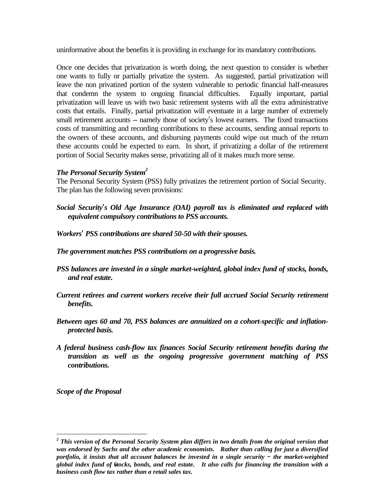uninformative about the benefits it is providing in exchange for its mandatory contributions.

Once one decides that privatization is worth doing, the next question to consider is whether one wants to fully or partially privatize the system. As suggested, partial privatization will leave the non privatized portion of the system vulnerable to periodic financial half-measures that condemn the system to ongoing financial difficulties. Equally important, partial privatization will leave us with two basic retirement systems with all the extra administrative costs that entails. Finally, partial privatization will eventuate in a large number of extremely small retirement accounts -- namely those of society's lowest earners. The fixed transactions costs of transmitting and recording contributions to these accounts, sending annual reports to the owners of these accounts, and disbursing payments could wipe out much of the return these accounts could be expected to earn. In short, if privatizing a dollar of the retirement portion of Social Security makes sense, privatizing all of it makes much more sense.

# *The Personal Security System<sup>2</sup>*

The Personal Security System (PSS) fully privatizes the retirement portion of Social Security. The plan has the following seven provisions:

- *Social Security=s Old Age Insurance (OAI) payroll tax is eliminated and replaced with equivalent compulsory contributions to PSS accounts.*
- *Workers= PSS contributions are shared 50-50 with their spouses.*
- *The government matches PSS contributions on a progressive basis.*
- *PSS balances are invested in a single market-weighted, global index fund of stocks, bonds, and real estate.*
- *Current retirees and current workers receive their full accrued Social Security retirement benefits.*
- *Between ages 60 and 70, PSS balances are annuitized on a cohort-specific and inflationprotected basis.*
- *A federal business cash-flow tax finances Social Security retirement benefits during the transition as well as the ongoing progressive government matching of PSS contributions.*

*Scope of the Proposal*

 $\overline{a}$ 

<sup>6</sup> *global index fund of stocks, bonds, and real estate. It also calls for financing the transition with a 2 This version of the Personal Security System plan differs in two details from the original version that was endorsed by Sachs and the other academic economists. Rather than calling for just a diversified portfolio, it insists that all account balances be invested in a single security - the market-weighted business cash flow tax rather than a retail sales tax.*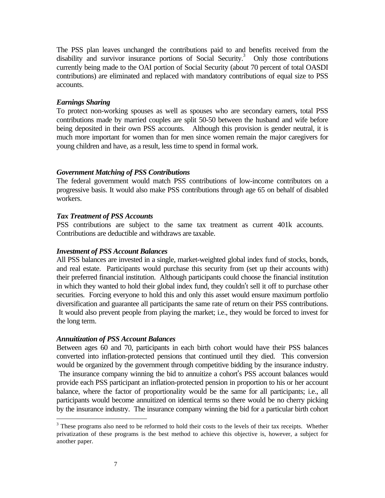The PSS plan leaves unchanged the contributions paid to and benefits received from the disability and survivor insurance portions of Social Security.<sup>3</sup> Only those contributions currently being made to the OAI portion of Social Security (about 70 percent of total OASDI contributions) are eliminated and replaced with mandatory contributions of equal size to PSS accounts.

## *Earnings Sharing*

To protect non-working spouses as well as spouses who are secondary earners, total PSS contributions made by married couples are split 50-50 between the husband and wife before being deposited in their own PSS accounts. Although this provision is gender neutral, it is much more important for women than for men since women remain the major caregivers for young children and have, as a result, less time to spend in formal work.

## *Government Matching of PSS Contributions*

The federal government would match PSS contributions of low-income contributors on a progressive basis. It would also make PSS contributions through age 65 on behalf of disabled workers.

## *Tax Treatment of PSS Accounts*

PSS contributions are subject to the same tax treatment as current 401k accounts. Contributions are deductible and withdraws are taxable.

#### *Investment of PSS Account Balances*

All PSS balances are invested in a single, market-weighted global index fund of stocks, bonds, and real estate. Participants would purchase this security from (set up their accounts with) their preferred financial institution. Although participants could choose the financial institution in which they wanted to hold their global index fund, they couldn't sell it off to purchase other securities. Forcing everyone to hold this and only this asset would ensure maximum portfolio diversification and guarantee all participants the same rate of return on their PSS contributions. It would also prevent people from playing the market; i.e., they would be forced to invest for the long term.

#### *Annuitization of PSS Account Balances*

Between ages 60 and 70, participants in each birth cohort would have their PSS balances converted into inflation-protected pensions that continued until they died. This conversion would be organized by the government through competitive bidding by the insurance industry. The insurance company winning the bid to annuitize a cohort's PSS account balances would provide each PSS participant an inflation-protected pension in proportion to his or her account balance, where the factor of proportionality would be the same for all participants; i.e., all participants would become annuitized on identical terms so there would be no cherry picking by the insurance industry. The insurance company winning the bid for a particular birth cohort

 $\overline{a}$ 

 $3$  These programs also need to be reformed to hold their costs to the levels of their tax receipts. Whether privatization of these programs is the best method to achieve this objective is, however, a subject for another paper.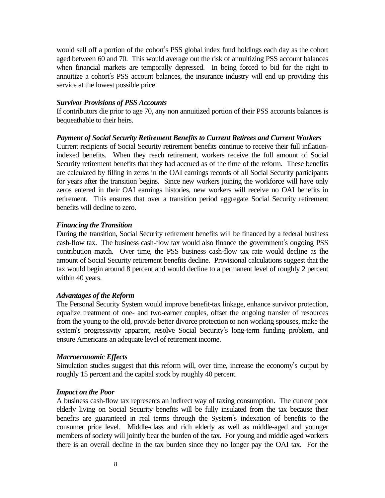would sell off a portion of the cohort's PSS global index fund holdings each day as the cohort aged between 60 and 70. This would average out the risk of annuitizing PSS account balances when financial markets are temporally depressed. In being forced to bid for the right to annuitize a cohort's PSS account balances, the insurance industry will end up providing this service at the lowest possible price.

## *Survivor Provisions of PSS Accounts*

If contributors die prior to age 70, any non annuitized portion of their PSS accounts balances is bequeathable to their heirs.

# *Payment of Social Security Retirement Benefits to Current Retirees and Current Workers*

Current recipients of Social Security retirement benefits continue to receive their full inflationindexed benefits. When they reach retirement, workers receive the full amount of Social Security retirement benefits that they had accrued as of the time of the reform. These benefits are calculated by filling in zeros in the OAI earnings records of all Social Security participants for years after the transition begins. Since new workers joining the workforce will have only zeros entered in their OAI earnings histories, new workers will receive no OAI benefits in retirement. This ensures that over a transition period aggregate Social Security retirement benefits will decline to zero.

# *Financing the Transition*

During the transition, Social Security retirement benefits will be financed by a federal business cash-flow tax. The business cash-flow tax would also finance the government's ongoing PSS contribution match. Over time, the PSS business cash-flow tax rate would decline as the amount of Social Security retirement benefits decline. Provisional calculations suggest that the tax would begin around 8 percent and would decline to a permanent level of roughly 2 percent within 40 years.

# *Advantages of the Reform*

The Personal Security System would improve benefit-tax linkage, enhance survivor protection, equalize treatment of one- and two-earner couples, offset the ongoing transfer of resources from the young to the old, provide better divorce protection to non working spouses, make the system's progressivity apparent, resolve Social Security's long-term funding problem, and ensure Americans an adequate level of retirement income.

# *Macroeconomic Effects*

Simulation studies suggest that this reform will, over time, increase the economy's output by roughly 15 percent and the capital stock by roughly 40 percent.

# *Impact on the Poor*

A business cash-flow tax represents an indirect way of taxing consumption. The current poor elderly living on Social Security benefits will be fully insulated from the tax because their benefits are guaranteed in real terms through the System's indexation of benefits to the consumer price level. Middle-class and rich elderly as well as middle-aged and younger members of society will jointly bear the burden of the tax. For young and middle aged workers there is an overall decline in the tax burden since they no longer pay the OAI tax. For the